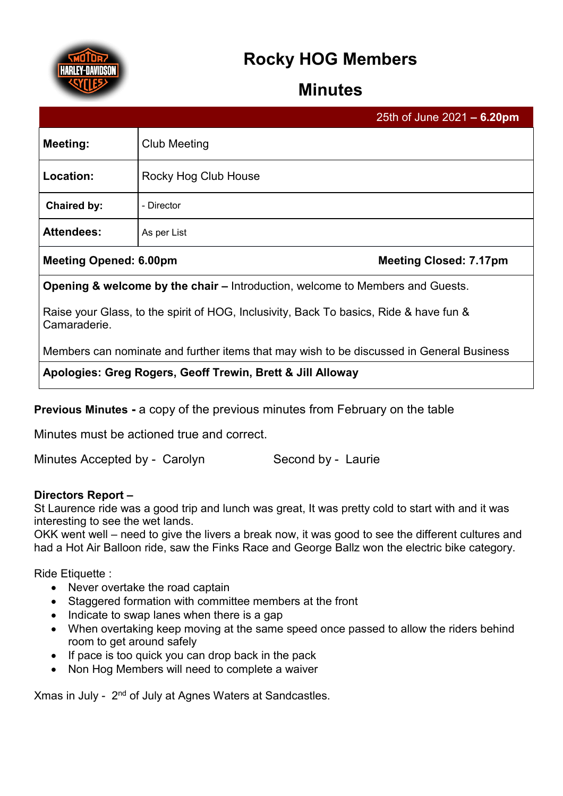

# **Rocky HOG Members**

## **Minutes**

|                   |                      | 25th of June 2021 $- 6.20$ pm |
|-------------------|----------------------|-------------------------------|
| <b>Meeting:</b>   | <b>Club Meeting</b>  |                               |
| Location:         | Rocky Hog Club House |                               |
| Chaired by:       | - Director           |                               |
| <b>Attendees:</b> | As per List          |                               |
|                   |                      |                               |

#### **Meeting Opened: 6.00pm Meeting Closed: 7.17pm**

**Opening & welcome by the chair –** Introduction, welcome to Members and Guests.

Raise your Glass, to the spirit of HOG, Inclusivity, Back To basics, Ride & have fun & Camaraderie.

Members can nominate and further items that may wish to be discussed in General Business

**Apologies: Greg Rogers, Geoff Trewin, Brett & Jill Alloway**

**Previous Minutes -** a copy of the previous minutes from February on the table

Minutes must be actioned true and correct.

Minutes Accepted by - Carolyn Second by - Laurie

### **Directors Report –**

St Laurence ride was a good trip and lunch was great, It was pretty cold to start with and it was interesting to see the wet lands.

OKK went well – need to give the livers a break now, it was good to see the different cultures and had a Hot Air Balloon ride, saw the Finks Race and George Ballz won the electric bike category.

Ride Etiquette :

- Never overtake the road captain
- Staggered formation with committee members at the front
- Indicate to swap lanes when there is a gap
- When overtaking keep moving at the same speed once passed to allow the riders behind room to get around safely
- If pace is too quick you can drop back in the pack
- Non Hog Members will need to complete a waiver

Xmas in July - 2nd of July at Agnes Waters at Sandcastles.